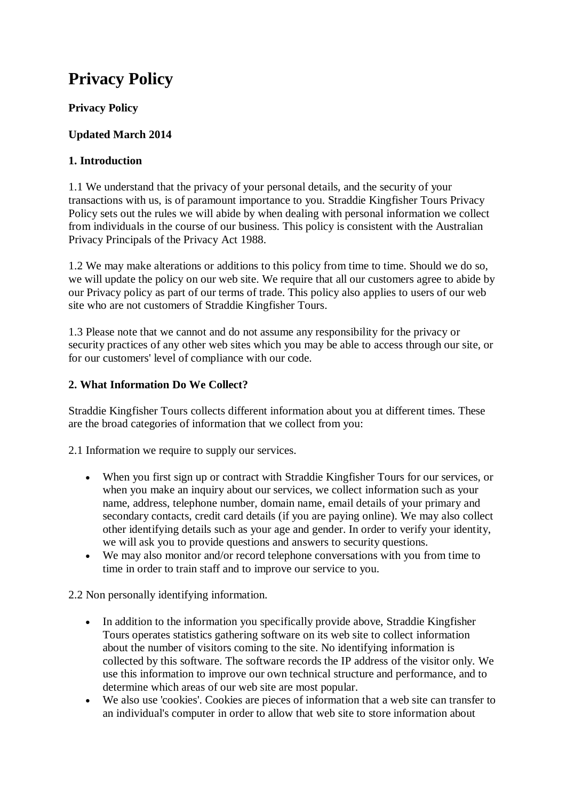# **Privacy Policy**

# **Privacy Policy**

# **Updated March 2014**

## **1. Introduction**

1.1 We understand that the privacy of your personal details, and the security of your transactions with us, is of paramount importance to you. Straddie Kingfisher Tours Privacy Policy sets out the rules we will abide by when dealing with personal information we collect from individuals in the course of our business. This policy is consistent with the Australian Privacy Principals of the Privacy Act 1988.

1.2 We may make alterations or additions to this policy from time to time. Should we do so, we will update the policy on our web site. We require that all our customers agree to abide by our Privacy policy as part of our terms of trade. This policy also applies to users of our web site who are not customers of Straddie Kingfisher Tours.

1.3 Please note that we cannot and do not assume any responsibility for the privacy or security practices of any other web sites which you may be able to access through our site, or for our customers' level of compliance with our code.

## **2. What Information Do We Collect?**

Straddie Kingfisher Tours collects different information about you at different times. These are the broad categories of information that we collect from you:

2.1 Information we require to supply our services.

- When you first sign up or contract with Straddie Kingfisher Tours for our services, or when you make an inquiry about our services, we collect information such as your name, address, telephone number, domain name, email details of your primary and secondary contacts, credit card details (if you are paying online). We may also collect other identifying details such as your age and gender. In order to verify your identity, we will ask you to provide questions and answers to security questions.
- We may also monitor and/or record telephone conversations with you from time to time in order to train staff and to improve our service to you.

2.2 Non personally identifying information.

- In addition to the information you specifically provide above, Straddie Kingfisher Tours operates statistics gathering software on its web site to collect information about the number of visitors coming to the site. No identifying information is collected by this software. The software records the IP address of the visitor only. We use this information to improve our own technical structure and performance, and to determine which areas of our web site are most popular.
- We also use 'cookies'. Cookies are pieces of information that a web site can transfer to an individual's computer in order to allow that web site to store information about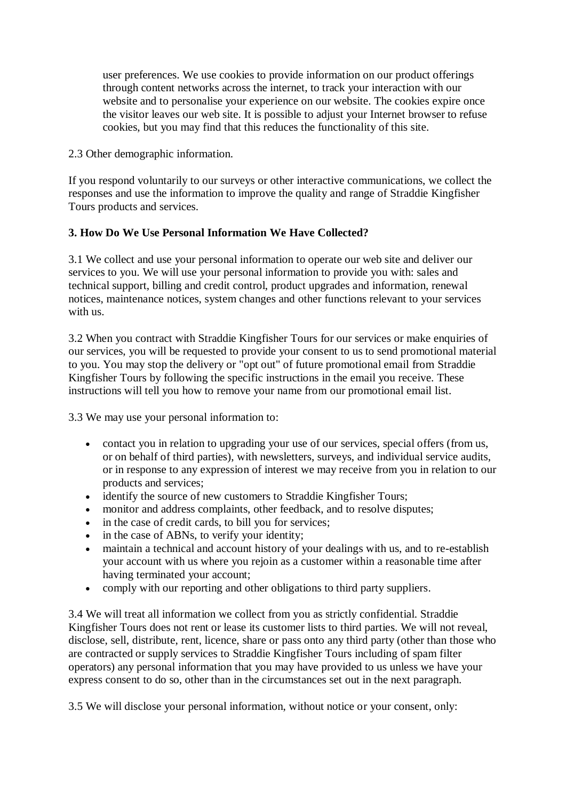user preferences. We use cookies to provide information on our product offerings through content networks across the internet, to track your interaction with our website and to personalise your experience on our website. The cookies expire once the visitor leaves our web site. It is possible to adjust your Internet browser to refuse cookies, but you may find that this reduces the functionality of this site.

2.3 Other demographic information.

If you respond voluntarily to our surveys or other interactive communications, we collect the responses and use the information to improve the quality and range of Straddie Kingfisher Tours products and services.

#### **3. How Do We Use Personal Information We Have Collected?**

3.1 We collect and use your personal information to operate our web site and deliver our services to you. We will use your personal information to provide you with: sales and technical support, billing and credit control, product upgrades and information, renewal notices, maintenance notices, system changes and other functions relevant to your services with us.

3.2 When you contract with Straddie Kingfisher Tours for our services or make enquiries of our services, you will be requested to provide your consent to us to send promotional material to you. You may stop the delivery or "opt out" of future promotional email from Straddie Kingfisher Tours by following the specific instructions in the email you receive. These instructions will tell you how to remove your name from our promotional email list.

3.3 We may use your personal information to:

- contact you in relation to upgrading your use of our services, special offers (from us, or on behalf of third parties), with newsletters, surveys, and individual service audits, or in response to any expression of interest we may receive from you in relation to our products and services;
- identify the source of new customers to Straddie Kingfisher Tours;
- monitor and address complaints, other feedback, and to resolve disputes;
- in the case of credit cards, to bill you for services;
- in the case of ABNs, to verify your identity;
- maintain a technical and account history of your dealings with us, and to re-establish your account with us where you rejoin as a customer within a reasonable time after having terminated your account;
- comply with our reporting and other obligations to third party suppliers.

3.4 We will treat all information we collect from you as strictly confidential. Straddie Kingfisher Tours does not rent or lease its customer lists to third parties. We will not reveal, disclose, sell, distribute, rent, licence, share or pass onto any third party (other than those who are contracted or supply services to Straddie Kingfisher Tours including of spam filter operators) any personal information that you may have provided to us unless we have your express consent to do so, other than in the circumstances set out in the next paragraph.

3.5 We will disclose your personal information, without notice or your consent, only: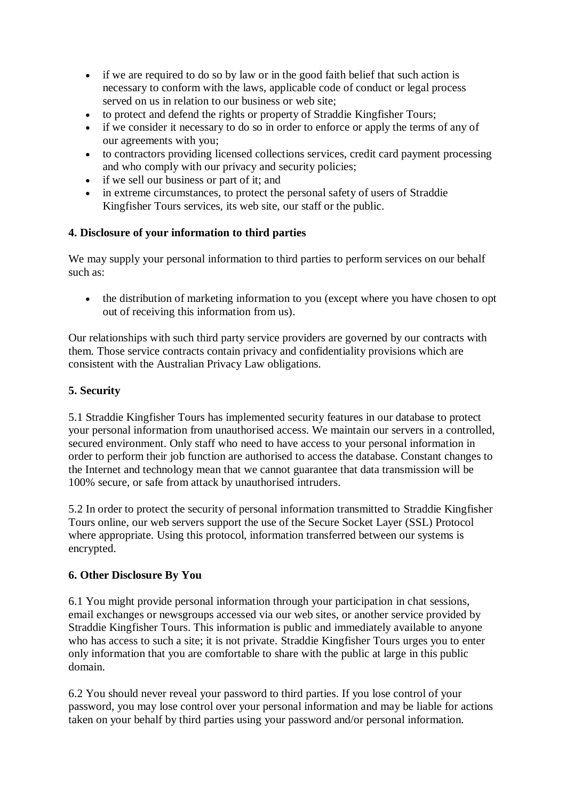- if we are required to do so by law or in the good faith belief that such action is necessary to conform with the laws, applicable code of conduct or legal process served on us in relation to our business or web site;
- to protect and defend the rights or property of Straddie Kingfisher Tours;
- if we consider it necessary to do so in order to enforce or apply the terms of any of our agreements with you;
- to contractors providing licensed collections services, credit card payment processing and who comply with our privacy and security policies;
- if we sell our business or part of it; and
- in extreme circumstances, to protect the personal safety of users of Straddie Kingfisher Tours services, its web site, our staff or the public.

## **4. Disclosure of your information to third parties**

We may supply your personal information to third parties to perform services on our behalf such as:

• the distribution of marketing information to you (except where you have chosen to opt out of receiving this information from us).

Our relationships with such third party service providers are governed by our contracts with them. Those service contracts contain privacy and confidentiality provisions which are consistent with the Australian Privacy Law obligations.

## **5. Security**

5.1 Straddie Kingfisher Tours has implemented security features in our database to protect your personal information from unauthorised access. We maintain our servers in a controlled, secured environment. Only staff who need to have access to your personal information in order to perform their job function are authorised to access the database. Constant changes to the Internet and technology mean that we cannot guarantee that data transmission will be 100% secure, or safe from attack by unauthorised intruders.

5.2 In order to protect the security of personal information transmitted to Straddie Kingfisher Tours online, our web servers support the use of the Secure Socket Layer (SSL) Protocol where appropriate. Using this protocol, information transferred between our systems is encrypted.

#### **6. Other Disclosure By You**

6.1 You might provide personal information through your participation in chat sessions, email exchanges or newsgroups accessed via our web sites, or another service provided by Straddie Kingfisher Tours. This information is public and immediately available to anyone who has access to such a site; it is not private. Straddie Kingfisher Tours urges you to enter only information that you are comfortable to share with the public at large in this public domain.

6.2 You should never reveal your password to third parties. If you lose control of your password, you may lose control over your personal information and may be liable for actions taken on your behalf by third parties using your password and/or personal information.